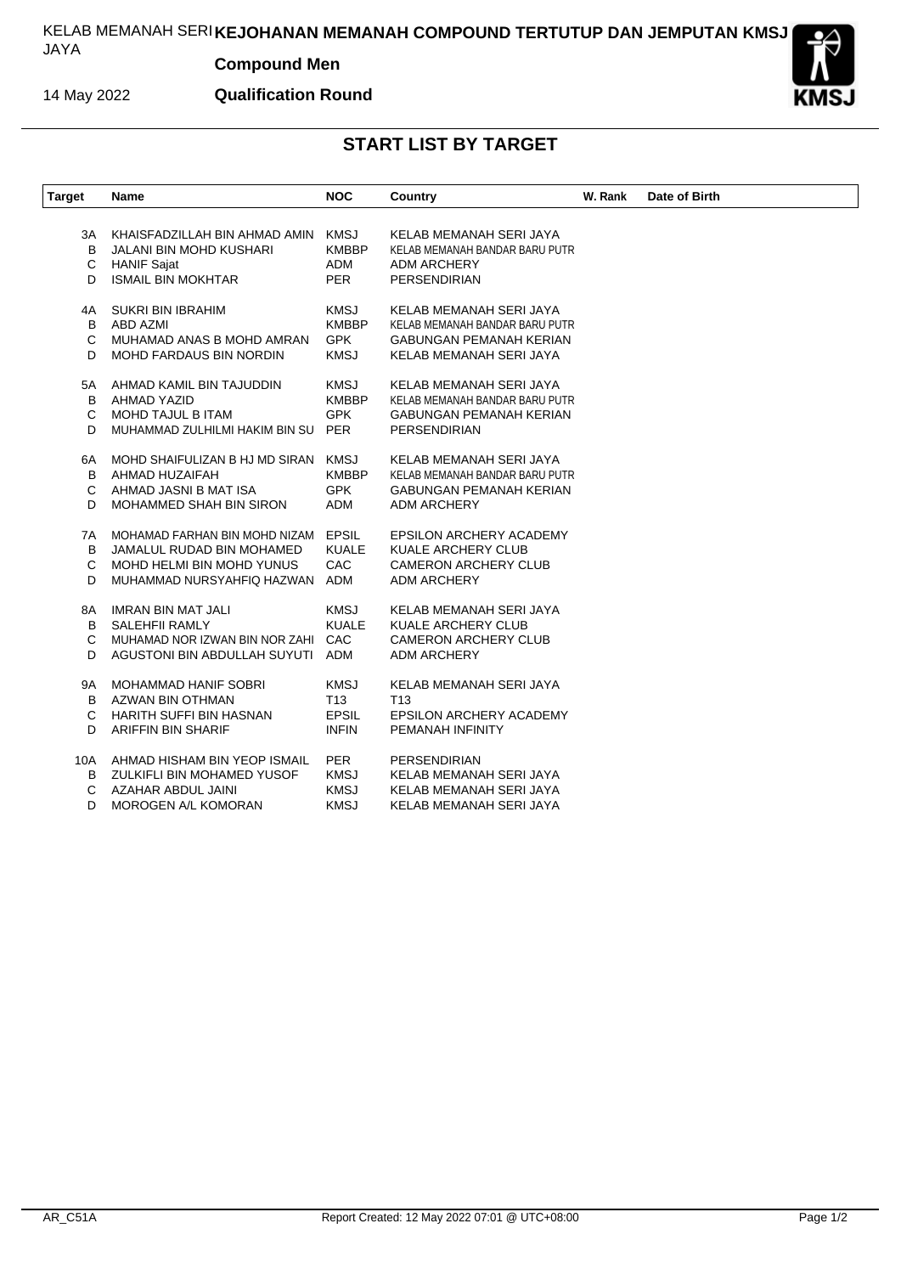## KELAB MEMANAH SERI **KEJOHANAN MEMANAH COMPOUND TERTUTUP DAN JEMPUTAN KMSJ** JAYA

## **Compound Men**

14 May 2022

**Qualification Round**



## **START LIST BY TARGET**

| <b>Target</b>      | Name                                                                                                                  | <b>NOC</b>                                                     | Country                                                                                                                | W. Rank | Date of Birth |
|--------------------|-----------------------------------------------------------------------------------------------------------------------|----------------------------------------------------------------|------------------------------------------------------------------------------------------------------------------------|---------|---------------|
| ЗA<br>в<br>C<br>D  | KHAISFADZILLAH BIN AHMAD AMIN<br>JALANI BIN MOHD KUSHARI<br><b>HANIF Sajat</b><br><b>ISMAIL BIN MOKHTAR</b>           | <b>KMSJ</b><br><b>KMBBP</b><br><b>ADM</b><br><b>PER</b>        | KELAB MEMANAH SERI JAYA<br>KELAB MEMANAH BANDAR BARU PUTR<br>ADM ARCHERY<br><b>PERSENDIRIAN</b>                        |         |               |
| 4A<br>B<br>C<br>D  | <b>SUKRI BIN IBRAHIM</b><br>ABD AZMI<br>MUHAMAD ANAS B MOHD AMRAN<br>MOHD FARDAUS BIN NORDIN                          | <b>KMSJ</b><br><b>KMBBP</b><br><b>GPK</b><br><b>KMSJ</b>       | KELAB MEMANAH SERI JAYA<br>KELAB MEMANAH BANDAR BARU PUTR<br><b>GABUNGAN PEMANAH KERIAN</b><br>KELAB MEMANAH SERI JAYA |         |               |
| 5А<br>B<br>C<br>D  | AHMAD KAMIL BIN TAJUDDIN<br>AHMAD YAZID<br>MOHD TAJUL B ITAM<br>MUHAMMAD ZULHILMI HAKIM BIN SU                        | <b>KMSJ</b><br><b>KMBBP</b><br><b>GPK</b><br><b>PER</b>        | KELAB MEMANAH SERI JAYA<br>KELAB MEMANAH BANDAR BARU PUTR<br><b>GABUNGAN PEMANAH KERIAN</b><br>PERSENDIRIAN            |         |               |
| 6A<br>B<br>C<br>D  | MOHD SHAIFULIZAN B HJ MD SIRAN<br>AHMAD HUZAIFAH<br>AHMAD JASNI B MAT ISA<br>MOHAMMED SHAH BIN SIRON                  | <b>KMSJ</b><br><b>KMBBP</b><br><b>GPK</b><br>ADM               | KELAB MEMANAH SERI JAYA<br>KELAB MEMANAH BANDAR BARU PUTR<br><b>GABUNGAN PEMANAH KERIAN</b><br><b>ADM ARCHERY</b>      |         |               |
| 7A<br>B<br>C<br>D  | MOHAMAD FARHAN BIN MOHD NIZAM<br>JAMALUL RUDAD BIN MOHAMED<br>MOHD HELMI BIN MOHD YUNUS<br>MUHAMMAD NURSYAHFIQ HAZWAN | <b>EPSIL</b><br><b>KUALE</b><br>CAC<br>ADM                     | <b>EPSILON ARCHERY ACADEMY</b><br>KUALE ARCHERY CLUB<br><b>CAMERON ARCHERY CLUB</b><br><b>ADM ARCHERY</b>              |         |               |
| 8A<br>B<br>C<br>D  | <b>IMRAN BIN MAT JALI</b><br>SALEHFII RAMLY<br>MUHAMAD NOR IZWAN BIN NOR ZAHI<br>AGUSTONI BIN ABDULLAH SUYUTI         | <b>KMSJ</b><br><b>KUALE</b><br>CAC<br>ADM                      | KELAB MEMANAH SERI JAYA<br>KUALE ARCHERY CLUB<br><b>CAMERON ARCHERY CLUB</b><br><b>ADM ARCHERY</b>                     |         |               |
| 9Α<br>B<br>С<br>D  | MOHAMMAD HANIF SOBRI<br>AZWAN BIN OTHMAN<br><b>HARITH SUFFI BIN HASNAN</b><br><b>ARIFFIN BIN SHARIF</b>               | <b>KMSJ</b><br>T <sub>13</sub><br><b>EPSIL</b><br><b>INFIN</b> | KELAB MEMANAH SERI JAYA<br>T13<br><b>EPSILON ARCHERY ACADEMY</b><br>PEMANAH INFINITY                                   |         |               |
| 10A<br>B<br>С<br>D | AHMAD HISHAM BIN YEOP ISMAIL<br>ZULKIFLI BIN MOHAMED YUSOF<br>AZAHAR ABDUL JAINI<br>MOROGEN A/L KOMORAN               | <b>PER</b><br><b>KMSJ</b><br><b>KMSJ</b><br><b>KMSJ</b>        | <b>PERSENDIRIAN</b><br>KELAB MEMANAH SERI JAYA<br>KELAB MEMANAH SERI JAYA<br>KELAB MEMANAH SERI JAYA                   |         |               |